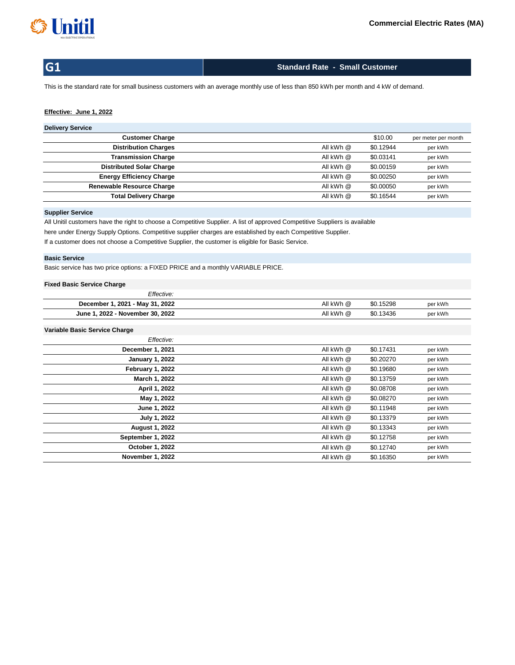

# **Standard Rate - Small Customer**

This is the standard rate for small business customers with an average monthly use of less than 850 kWh per month and 4 kW of demand.

## **Effective: June 1, 2022**

#### **Delivery Service**

| <b>Customer Charge</b>           |           | \$10.00   | per meter per month |
|----------------------------------|-----------|-----------|---------------------|
| <b>Distribution Charges</b>      | All kWh @ | \$0.12944 | per kWh             |
| <b>Transmission Charge</b>       | All kWh @ | \$0.03141 | per kWh             |
| <b>Distributed Solar Charge</b>  | All kWh @ | \$0.00159 | per kWh             |
| <b>Energy Efficiency Charge</b>  | All kWh @ | \$0.00250 | per kWh             |
| <b>Renewable Resource Charge</b> | All kWh @ | \$0.00050 | per kWh             |
| <b>Total Delivery Charge</b>     | All kWh @ | \$0.16544 | per kWh             |
|                                  |           |           |                     |

#### **Supplier Service**

If a customer does not choose a Competitive Supplier, the customer is eligible for Basic Service. All Unitil customers have the right to choose a Competitive Supplier. A list of approved Competitive Suppliers is available here under Energy Supply Options. Competitive supplier charges are established by each Competitive Supplier.

# **Basic Service**

Basic service has two price options: a FIXED PRICE and a monthly VARIABLE PRICE.

# **Fixed Basic Service Charge**

| Effective:                       |           |           |         |
|----------------------------------|-----------|-----------|---------|
| December 1, 2021 - May 31, 2022  | All kWh @ | \$0.15298 | per kWh |
| June 1, 2022 - November 30, 2022 | All kWh @ | \$0.13436 | per kWh |

| Effective:              |           |           |         |
|-------------------------|-----------|-----------|---------|
| December 1, 2021        | All kWh @ | \$0.17431 | per kWh |
| <b>January 1, 2022</b>  | All kWh @ | \$0.20270 | per kWh |
| February 1, 2022        | All kWh @ | \$0.19680 | per kWh |
| March 1, 2022           | All kWh @ | \$0.13759 | per kWh |
| April 1, 2022           | All kWh @ | \$0.08708 | per kWh |
| May 1, 2022             | All kWh @ | \$0.08270 | per kWh |
| June 1, 2022            | All kWh @ | \$0.11948 | per kWh |
| July 1, 2022            | All kWh @ | \$0.13379 | per kWh |
| <b>August 1, 2022</b>   | All kWh @ | \$0.13343 | per kWh |
| September 1, 2022       | All kWh @ | \$0.12758 | per kWh |
| October 1, 2022         | All kWh @ | \$0.12740 | per kWh |
| <b>November 1, 2022</b> | All kWh @ | \$0.16350 | per kWh |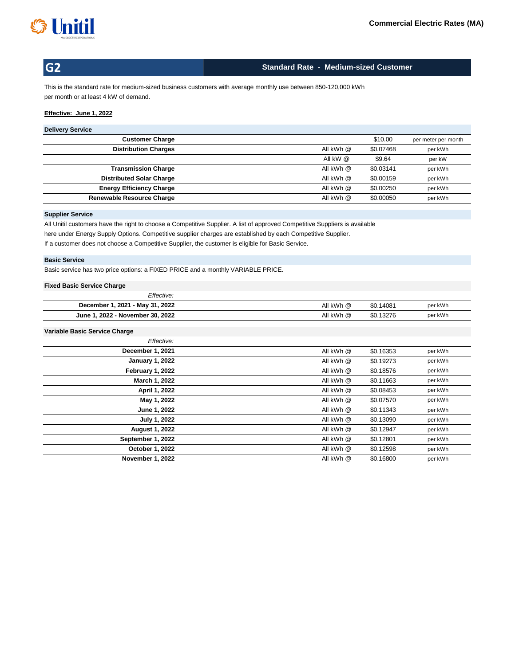

# **Standard Rate - Medium-sized Customer**

This is the standard rate for medium-sized business customers with average monthly use between 850-120,000 kWh per month or at least 4 kW of demand.

# **Effective: June 1, 2022**

# **Delivery Service**

| <b>Customer Charge</b>           |            | \$10.00   | per meter per month |
|----------------------------------|------------|-----------|---------------------|
| <b>Distribution Charges</b>      | All kWh @  | \$0.07468 | per kWh             |
|                                  | All kW $@$ | \$9.64    | per kW              |
| <b>Transmission Charge</b>       | All kWh @  | \$0.03141 | per kWh             |
| <b>Distributed Solar Charge</b>  | All kWh @  | \$0.00159 | per kWh             |
| <b>Energy Efficiency Charge</b>  | All kWh @  | \$0.00250 | per kWh             |
| <b>Renewable Resource Charge</b> | All kWh @  | \$0,00050 | per kWh             |
|                                  |            |           |                     |

## **Supplier Service**

All Unitil customers have the right to choose a Competitive Supplier. A list of approved Competitive Suppliers is available here under Energy Supply Options. Competitive supplier charges are established by each Competitive Supplier. If a customer does not choose a Competitive Supplier, the customer is eligible for Basic Service.

## **Basic Service**

Basic service has two price options: a FIXED PRICE and a monthly VARIABLE PRICE.

#### **Fixed Basic Service Charge**

| Effective:                       |           |           |         |
|----------------------------------|-----------|-----------|---------|
| December 1, 2021 - May 31, 2022  | All kWh @ | \$0.14081 | per kWh |
| June 1, 2022 - November 30, 2022 | All kWh @ | \$0.13276 | per kWh |

| Effective:             |           |           |         |
|------------------------|-----------|-----------|---------|
| December 1, 2021       | All kWh @ | \$0.16353 | per kWh |
| <b>January 1, 2022</b> | All kWh @ | \$0.19273 | per kWh |
| February 1, 2022       | All kWh @ | \$0.18576 | per kWh |
| March 1, 2022          | All kWh @ | \$0.11663 | per kWh |
| April 1, 2022          | All kWh @ | \$0.08453 | per kWh |
| May 1, 2022            | All kWh @ | \$0.07570 | per kWh |
| June 1, 2022           | All kWh @ | \$0.11343 | per kWh |
| July 1, 2022           | All kWh @ | \$0.13090 | per kWh |
| <b>August 1, 2022</b>  | All kWh @ | \$0.12947 | per kWh |
| September 1, 2022      | All kWh @ | \$0.12801 | per kWh |
| October 1, 2022        | All kWh @ | \$0.12598 | per kWh |
| November 1, 2022       | All kWh @ | \$0.16800 | per kWh |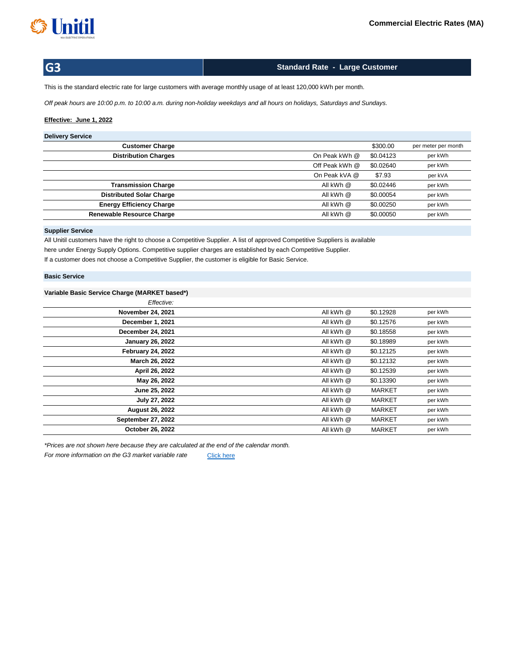

**Standard Rate - Large Customer**

This is the standard electric rate for large customers with average monthly usage of at least 120,000 kWh per month.

*Off peak hours are 10:00 p.m. to 10:00 a.m. during non-holiday weekdays and all hours on holidays, Saturdays and Sundays.*

## **Effective: June 1, 2022**

## **Delivery Service**

| <b>Customer Charge</b>           |                | \$300.00  | per meter per month |
|----------------------------------|----------------|-----------|---------------------|
| <b>Distribution Charges</b>      | On Peak kWh @  | \$0.04123 | per kWh             |
|                                  | Off Peak kWh @ | \$0.02640 | per kWh             |
|                                  | On Peak kVA @  | \$7.93    | per kVA             |
| <b>Transmission Charge</b>       | All kWh @      | \$0.02446 | per kWh             |
| <b>Distributed Solar Charge</b>  | All kWh @      | \$0.00054 | per kWh             |
| <b>Energy Efficiency Charge</b>  | All kWh @      | \$0.00250 | per kWh             |
| <b>Renewable Resource Charge</b> | All kWh @      | \$0.00050 | per kWh             |
|                                  |                |           |                     |

### **Supplier Service**

All Unitil customers have the right to choose a Competitive Supplier. A list of approved Competitive Suppliers is available here under Energy Supply Options. Competitive supplier charges are established by each Competitive Supplier. If a customer does not choose a Competitive Supplier, the customer is eligible for Basic Service.

### **Basic Service**

## **Variable Basic Service Charge (MARKET based\*)**

| Effective:               |           |               |         |
|--------------------------|-----------|---------------|---------|
| <b>November 24, 2021</b> | All kWh @ | \$0.12928     | per kWh |
| December 1, 2021         | All kWh @ | \$0.12576     | per kWh |
| <b>December 24, 2021</b> | All kWh @ | \$0.18558     | per kWh |
| <b>January 26, 2022</b>  | All kWh @ | \$0.18989     | per kWh |
| <b>February 24, 2022</b> | All kWh @ | \$0.12125     | per kWh |
| March 26, 2022           | All kWh @ | \$0.12132     | per kWh |
| April 26, 2022           | All kWh @ | \$0.12539     | per kWh |
| May 26, 2022             | All kWh @ | \$0.13390     | per kWh |
| June 25, 2022            | All kWh @ | <b>MARKET</b> | per kWh |
| July 27, 2022            | All kWh @ | <b>MARKET</b> | per kWh |
| <b>August 26, 2022</b>   | All kWh @ | <b>MARKET</b> | per kWh |
| September 27, 2022       | All kWh @ | <b>MARKET</b> | per kWh |
| October 26, 2022         | All kWh @ | <b>MARKET</b> | per kWh |

*\*Prices are not shown here because they are calculated at the end of the calendar month.*

[Click here](http://unitil.com/energy-for-businesses/electric-information/electric-rates/G3-basic-service-charges) *For more information on the G3 market variable rate*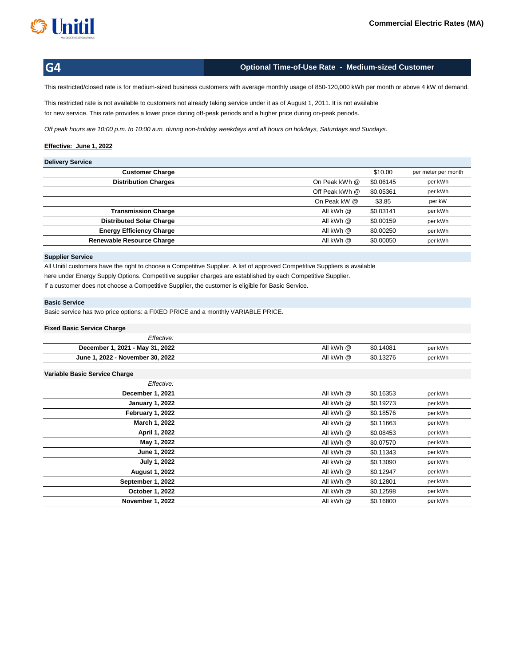

# **Optional Time-of-Use Rate - Medium-sized Customer**

This restricted/closed rate is for medium-sized business customers with average monthly usage of 850-120,000 kWh per month or above 4 kW of demand.

This restricted rate is not available to customers not already taking service under it as of August 1, 2011. It is not available for new service. This rate provides a lower price during off-peak periods and a higher price during on-peak periods.

*Off peak hours are 10:00 p.m. to 10:00 a.m. during non-holiday weekdays and all hours on holidays, Saturdays and Sundays.*

### **Effective: June 1, 2022**

## **Delivery Service**

| $50111011$ $5011100$             |                |           |                     |
|----------------------------------|----------------|-----------|---------------------|
| <b>Customer Charge</b>           |                | \$10.00   | per meter per month |
| <b>Distribution Charges</b>      | On Peak kWh @  | \$0.06145 | per kWh             |
|                                  | Off Peak kWh @ | \$0.05361 | per kWh             |
|                                  | On Peak kW @   | \$3.85    | per kW              |
| <b>Transmission Charge</b>       | All kWh @      | \$0.03141 | per kWh             |
| <b>Distributed Solar Charge</b>  | All kWh @      | \$0.00159 | per kWh             |
| <b>Energy Efficiency Charge</b>  | All kWh @      | \$0.00250 | per kWh             |
| <b>Renewable Resource Charge</b> | All kWh @      | \$0.00050 | per kWh             |
|                                  |                |           |                     |

#### **Supplier Service**

All Unitil customers have the right to choose a Competitive Supplier. A list of approved Competitive Suppliers is available here under Energy Supply Options. Competitive supplier charges are established by each Competitive Supplier.

If a customer does not choose a Competitive Supplier, the customer is eligible for Basic Service.

## **Basic Service**

Basic service has two price options: a FIXED PRICE and a monthly VARIABLE PRICE.

#### **Fixed Basic Service Charge**

| Effective:                       |           |           |         |
|----------------------------------|-----------|-----------|---------|
| December 1, 2021 - May 31, 2022  | All kWh @ | \$0.14081 | per kWh |
| June 1, 2022 - November 30, 2022 | All kWh @ | \$0.13276 | per kWh |

| Effective:              |           |           |         |
|-------------------------|-----------|-----------|---------|
| December 1, 2021        | All kWh @ | \$0.16353 | per kWh |
| <b>January 1, 2022</b>  | All kWh @ | \$0.19273 | per kWh |
| February 1, 2022        | All kWh @ | \$0.18576 | per kWh |
| March 1, 2022           | All kWh @ | \$0.11663 | per kWh |
| April 1, 2022           | All kWh @ | \$0.08453 | per kWh |
| May 1, 2022             | All kWh @ | \$0.07570 | per kWh |
| June 1, 2022            | All kWh @ | \$0.11343 | per kWh |
| July 1, 2022            | All kWh @ | \$0.13090 | per kWh |
| <b>August 1, 2022</b>   | All kWh @ | \$0.12947 | per kWh |
| September 1, 2022       | All kWh @ | \$0.12801 | per kWh |
| <b>October 1, 2022</b>  | All kWh @ | \$0.12598 | per kWh |
| <b>November 1, 2022</b> | All kWh @ | \$0.16800 | per kWh |
|                         |           |           |         |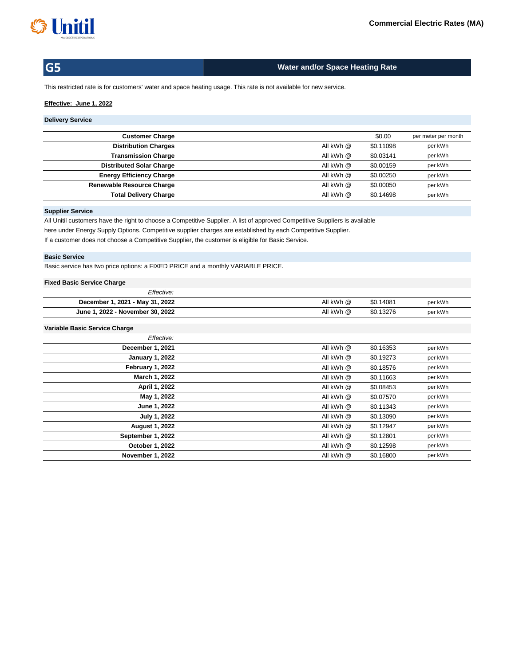

# **Water and/or Space Heating Rate**

This restricted rate is for customers' water and space heating usage. This rate is not available for new service.

### **Effective: June 1, 2022**

# **Delivery Service**

| <b>Customer Charge</b>           |           | \$0.00    | per meter per month |
|----------------------------------|-----------|-----------|---------------------|
| <b>Distribution Charges</b>      | All kWh @ | \$0.11098 | per kWh             |
| <b>Transmission Charge</b>       | All kWh @ | \$0.03141 | per kWh             |
| <b>Distributed Solar Charge</b>  | All kWh @ | \$0.00159 | per kWh             |
| <b>Energy Efficiency Charge</b>  | All kWh @ | \$0.00250 | per kWh             |
| <b>Renewable Resource Charge</b> | All kWh @ | \$0.00050 | per kWh             |
| <b>Total Delivery Charge</b>     | All kWh @ | \$0.14698 | per kWh             |
|                                  |           |           |                     |

## **Supplier Service**

All Unitil customers have the right to choose a Competitive Supplier. A list of approved Competitive Suppliers is available here under Energy Supply Options. Competitive supplier charges are established by each Competitive Supplier. If a customer does not choose a Competitive Supplier, the customer is eligible for Basic Service.

#### **Basic Service**

Basic service has two price options: a FIXED PRICE and a monthly VARIABLE PRICE.

## **Fixed Basic Service Charge**

| Effective:                       |           |           |         |
|----------------------------------|-----------|-----------|---------|
| December 1, 2021 - May 31, 2022  | All kWh @ | \$0.14081 | per kWh |
| June 1, 2022 - November 30, 2022 | All kWh @ | \$0.13276 | per kWh |

| Effective:             |           |           |         |
|------------------------|-----------|-----------|---------|
| December 1, 2021       | All kWh @ | \$0.16353 | per kWh |
| <b>January 1, 2022</b> | All kWh @ | \$0.19273 | per kWh |
| February 1, 2022       | All kWh @ | \$0.18576 | per kWh |
| March 1, 2022          | All kWh @ | \$0.11663 | per kWh |
| April 1, 2022          | All kWh @ | \$0.08453 | per kWh |
| May 1, 2022            | All kWh @ | \$0.07570 | per kWh |
| June 1, 2022           | All kWh @ | \$0.11343 | per kWh |
| July 1, 2022           | All kWh @ | \$0.13090 | per kWh |
| <b>August 1, 2022</b>  | All kWh @ | \$0.12947 | per kWh |
| September 1, 2022      | All kWh @ | \$0.12801 | per kWh |
| October 1, 2022        | All kWh @ | \$0.12598 | per kWh |
| November 1, 2022       | All kWh @ | \$0.16800 | per kWh |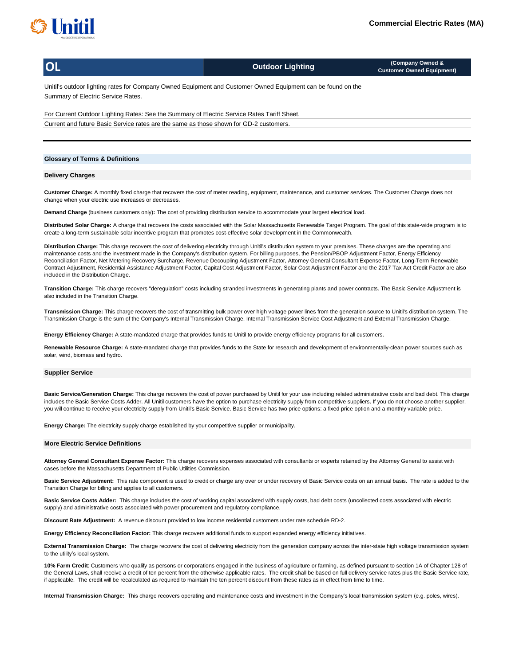

**OL**

**Outdoor Lighting (Company Owned & Customer Owned Equipment)**

Unitil's outdoor lighting rates for Company Owned Equipment and Customer Owned Equipment can be found on the Summary of Electric Service Rates.

For Current Outdoor Lighting Rates: See the Summary of Electric Service Rates Tariff Sheet. Current and future Basic Service rates are the same as those shown for GD-2 customers.

#### **Glossary of Terms & Definitions**

#### **Delivery Charges**

**Customer Charge:** A monthly fixed charge that recovers the cost of meter reading, equipment, maintenance, and customer services. The Customer Charge does not change when your electric use increases or decreases.

**Demand Charge** (business customers only)**:** The cost of providing distribution service to accommodate your largest electrical load.

**Distributed Solar Charge:** A charge that recovers the costs associated with the Solar Massachusetts Renewable Target Program. The goal of this state-wide program is to create a long-term sustainable solar incentive program that promotes cost-effective solar development in the Commonwealth.

**Distribution Charge:** This charge recovers the cost of delivering electricity through Unitil's distribution system to your premises. These charges are the operating and maintenance costs and the investment made in the Company's distribution system. For billing purposes, the Pension/PBOP Adjustment Factor, Energy Efficiency Reconciliation Factor, Net Metering Recovery Surcharge, Revenue Decoupling Adjustment Factor, Attorney General Consultant Expense Factor, Long-Term Renewable Contract Adjustment, Residential Assistance Adjustment Factor, Capital Cost Adjustment Factor, Solar Cost Adjustment Factor and the 2017 Tax Act Credit Factor are also included in the Distribution Charge.

**Transition Charge:** This charge recovers "deregulation" costs including stranded investments in generating plants and power contracts. The Basic Service Adjustment is also included in the Transition Charge.

**Transmission Charge:** This charge recovers the cost of transmitting bulk power over high voltage power lines from the generation source to Unitil's distribution system. The Transmission Charge is the sum of the Company's Internal Transmission Charge, Internal Transmission Service Cost Adjustment and External Transmission Charge.

**Energy Efficiency Charge:** A state-mandated charge that provides funds to Unitil to provide energy efficiency programs for all customers.

Renewable Resource Charge: A state-mandated charge that provides funds to the State for research and development of environmentally-clean power sources such as solar, wind, biomass and hydro.

#### **Supplier Service**

**Basic Service/Generation Charge:** This charge recovers the cost of power purchased by Unitil for your use including related administrative costs and bad debt. This charge includes the Basic Service Costs Adder. All Unitil customers have the option to purchase electricity supply from competitive suppliers. If you do not choose another supplier, you will continue to receive your electricity supply from Unitil's Basic Service. Basic Service has two price options: a fixed price option and a monthly variable price.

**Energy Charge:** The electricity supply charge established by your competitive supplier or municipality.

#### **More Electric Service Definitions**

**Attorney General Consultant Expense Factor:** This charge recovers expenses associated with consultants or experts retained by the Attorney General to assist with cases before the Massachusetts Department of Public Utilities Commission.

Basic Service Adjustment: This rate component is used to credit or charge any over or under recovery of Basic Service costs on an annual basis. The rate is added to the Transition Charge for billing and applies to all customers.

**Basic Service Costs Adder:** This charge includes the cost of working capital associated with supply costs, bad debt costs (uncollected costs associated with electric supply) and administrative costs associated with power procurement and regulatory compliance.

**Discount Rate Adjustment:** A revenue discount provided to low income residential customers under rate schedule RD-2.

**Energy Efficiency Reconciliation Factor:** This charge recovers additional funds to support expanded energy efficiency initiatives.

**External Transmission Charge:** The charge recovers the cost of delivering electricity from the generation company across the inter-state high voltage transmission system to the utility's local system.

**10% Farm Credit**: Customers who qualify as persons or corporations engaged in the business of agriculture or farming, as defined pursuant to section 1A of Chapter 128 of the General Laws, shall receive a credit of ten percent from the otherwise applicable rates. The credit shall be based on full delivery service rates plus the Basic Service rate, if applicable. The credit will be recalculated as required to maintain the ten percent discount from these rates as in effect from time to time.

**Internal Transmission Charge:** This charge recovers operating and maintenance costs and investment in the Company's local transmission system (e.g. poles, wires).